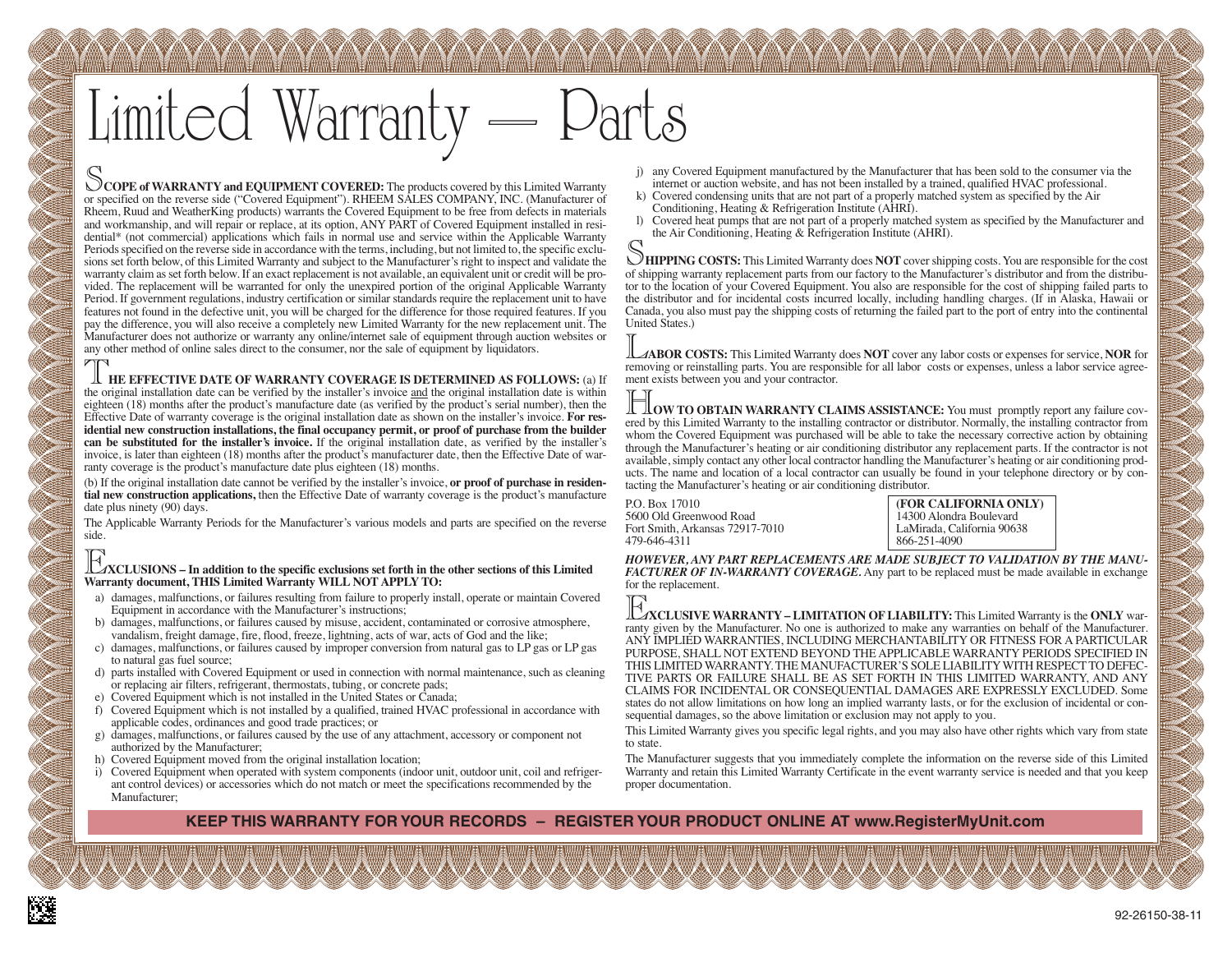# Limited Warranty

S**COPE of WARRANTY and EQUIPMENT COVERED:** The products covered by this Limited Warranty or specified on the reverse side ("Covered Equipment"). RHEEM SALES COMPANY, INC. (Manufacturer of Rheem, Ruud and WeatherKing products) warrants the Covered Equipment to be free from defects in materials and workmanship, and will repair or replace, at its option, ANY PART of Covered Equipment installed in residential\* (not commercial) applications which fails in normal use and service within the Applicable Warranty Periodsspecified on the reverse side in accordance with the terms, including, but not limited to, the specific exclusions set forth below, of this Limited Warranty and subject to the Manufacturer's right to inspect and validate the warranty claim asset forth below. If an exact replacement is not available, an equivalent unit or credit will be provided. The replacement will be warranted for only the unexpired portion of the original Applicable Warranty Period. If government regulations, industry certification or similar standards require the replacement unit to have features not found in the defective unit, you will be charged for the difference for those required features. If you pay the difference, you will also receive a completely new Limited Warranty for the new replacement unit. The Manufacturer does not authorize or warranty any online/internet sale of equipment through auction websites or any other method of online sales direct to the consumer, nor the sale of equipment by liquidators.

T**HE EFFECTIVE DATE OF WARRANTY COVERAGE IS DETERMINED AS FOLLOWS:** (a) If the original installation date can be verified by the installer's invoice and the original installation date is within eighteen (18) months after the product's manufacture date (as verified by the product's serial number), then the Effective Date of warranty coverage is the original installation date as shown on the installer's invoice. **For residential new construction installations, the final occupancy permit, or proof of purchase from the builder can be substituted for the installer's invoice.** If the original installation date, as verified by the installer's invoice, is later than eighteen (18) months after the product's manufacturer date, then the Effective Date of warranty coverage is the product's manufacture date plus eighteen (18) months.

(b) If the original installation date cannot be verified by the installer's invoice, **or proof of purchase in residential new construction applications,** then the Effective Date of warranty coverage is the product's manufacture date plus ninety (90) days.

The Applicable Warranty Periods for the Manufacturer's various models and parts are specified on the reverse side.

#### E**XCLUSIONS – In addition to the specific exclusions set forth in the other sections of this Limited Warranty document, THIS Limited Warranty WILL NOT APPLY TO:**

- a) damages, malfunctions, or failures resulting from failure to properly install, operate or maintain Covered Equipment in accordance with the Manufacturer's instructions;
- b) damages, malfunctions, or failures caused by misuse, accident, contaminated or corrosive atmosphere, vandalism, freight damage, fire, flood, freeze, lightning, acts of war, acts of God and the like;
- c) damages, malfunctions, or failures caused by improper conversion from natural gas to LP gas or LP gas to natural gas fuel source;
- d) parts installed with Covered Equipment or used in connection with normal maintenance, such as cleaning or replacing air filters, refrigerant, thermostats, tubing, or concrete pads;
- e) Covered Equipment which is not installed in the United States or Canada;
- f) Covered Equipment which is not installed by a qualified, trained HVAC professional in accordance with applicable codes, ordinances and good trade practices; or
- g) damages, malfunctions, or failures caused by the use of any attachment, accessory or component not authorized by the Manufacturer;
- h) Covered Equipment moved from the original installation location;
- i) Covered Equipment when operated with system components (indoor unit, outdoor unit, coil and refrigerant control devices) or accessories which do not match or meet the specifications recommended by the Manufacturer;
- j) any Covered Equipment manufactured by the Manufacturer that has been sold to the consumer via the internet or auction website, and has not been installed by a trained, qualified HVAC professional.
- k) Covered condensing units that are not part of a properly matched system as specified by the Air Conditioning, Heating & Refrigeration Institute (AHRI).
- l) Covered heat pumps that are not part of a properly matched system as specified by the Manufacturer and the Air Conditioning, Heating & Refrigeration Institute (AHRI).

S**HIPPING COSTS:** This Limited Warranty does **NOT** covershipping costs. You are responsible for the cost of shipping warranty replacement parts from our factory to the Manufacturer's distributor and from the distributor to the location of your Covered Equipment. You also are responsible for the cost of shipping failed parts to the distributor and for incidental costs incurred locally, including handling charges. (If in Alaska, Hawaii or Canada, you also must pay the shipping costs of returning the failed part to the port of entry into the continental United States.)

L**ABOR COSTS:** This Limited Warranty does **NOT** cover any labor costs or expenses for service, **NOR** for removing or reinstalling parts. You are responsible for all labor costs or expenses, unless a labor service agreement exists between you and your contractor.

H**OW TO OBTAIN WARRANTY CLAIMS ASSISTANCE:** You must promptly report any failure covered by this Limited Warranty to the installing contractor or distributor. Normally, the installing contractor from whom the Covered Equipment was purchased will be able to take the necessary corrective action by obtaining through the Manufacturer's heating or air conditioning distributor any replacement parts. If the contractor is not available,simply contact any other local contractor handling the Manufacturer's heating or air conditioning products. The name and location of a local contractor can usually be found in your telephone directory or by contacting the Manufacturer's heating or air conditioning distributor.

P.O. Box 17010 **(FOR CALIFORNIA ONLY)** 5600 Old Greenwood Road<br>
Fort Smith, Arkansas 72917-7010 LaMirada, California 90638 Fort Smith, Arkansas 72917-7010<br>479-646-4311

479-646-4311 866-251-4090

*HOWEVER, ANY PART REPLACEMENTS ARE MADE SUBJECT TO VALIDATION BY THE MANU-FACTURER OF IN-WARRANTY COVERAGE.* Any part to be replaced must be made available in exchange for the replacement.

E**XCLUSIVE WARRANTY – LIMITATION OFLIABILITY:** This Limited Warranty is the **ONLY** warranty given by the Manufacturer. No one is authorized to make any warranties on behalf of the Manufacturer. ANY IMPLIED WARRANTIES, INCLUDING MERCHANTABILITY OR FITNESS FOR A PARTICULAR PURPOSE, SHALL NOT EXTEND BEYOND THE APPLICABLE WARRANTY PERIODS SPECIFIED IN THIS LIMITED WARRANTY. THE MANUFACTURER'S SOLE LIABILITYWITH RESPECTTO DEFEC-TIVE PARTS OR FAILURE SHALL BE AS SET FORTH IN THIS LIMITED WARRANTY, AND ANY CLAIMS FOR INCIDENTAL OR CONSEQUENTIAL DAMAGES ARE EXPRESSLY EXCLUDED. Some states do not allow limitations on how long an implied warranty lasts, or for the exclusion of incidental or consequential damages, so the above limitation or exclusion may not apply to you.

This Limited Warranty gives you specific legal rights, and you may also have other rights which vary from state to state.

The Manufacturer suggests that you immediately complete the information on the reverse side of this Limited Warranty and retain this Limited Warranty Certificate in the event warranty service is needed and that you keep proper documentation.

**KEEP THIS WARRANTY FOR YOUR RECORDS – REGISTER YOUR PRODUCT ONLINE AT www.RegisterMyUnit.com**